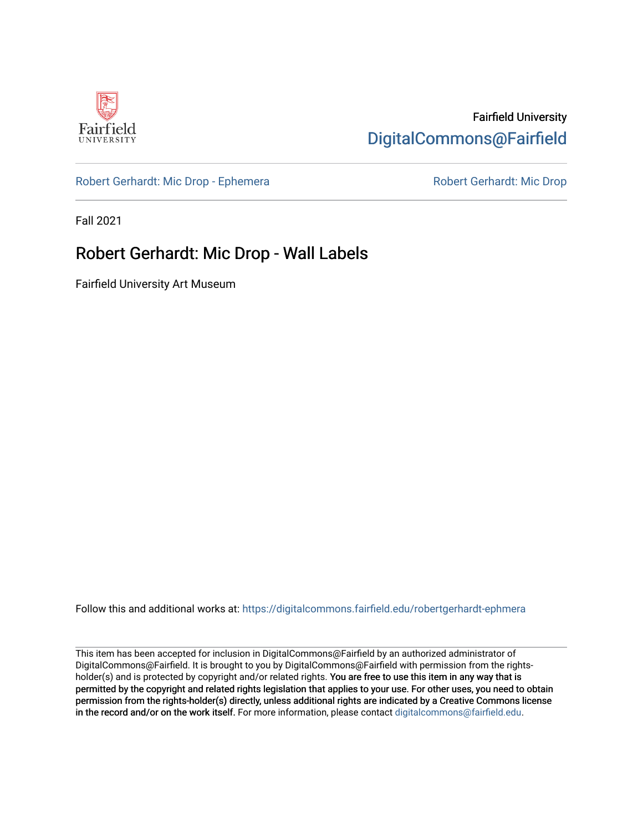

## Fairfield University [DigitalCommons@Fairfield](https://digitalcommons.fairfield.edu/)

## [Robert Gerhardt: Mic Drop - Ephemera](https://digitalcommons.fairfield.edu/robertgerhardt-ephmera) Robert Gerhardt: Mic Drop

Fall 2021

## Robert Gerhardt: Mic Drop - Wall Labels

Fairfield University Art Museum

Follow this and additional works at: [https://digitalcommons.fairfield.edu/robertgerhardt-ephmera](https://digitalcommons.fairfield.edu/robertgerhardt-ephmera?utm_source=digitalcommons.fairfield.edu%2Frobertgerhardt-ephmera%2F3&utm_medium=PDF&utm_campaign=PDFCoverPages) 

This item has been accepted for inclusion in DigitalCommons@Fairfield by an authorized administrator of DigitalCommons@Fairfield. It is brought to you by DigitalCommons@Fairfield with permission from the rightsholder(s) and is protected by copyright and/or related rights. You are free to use this item in any way that is permitted by the copyright and related rights legislation that applies to your use. For other uses, you need to obtain permission from the rights-holder(s) directly, unless additional rights are indicated by a Creative Commons license in the record and/or on the work itself. For more information, please contact [digitalcommons@fairfield.edu.](mailto:digitalcommons@fairfield.edu)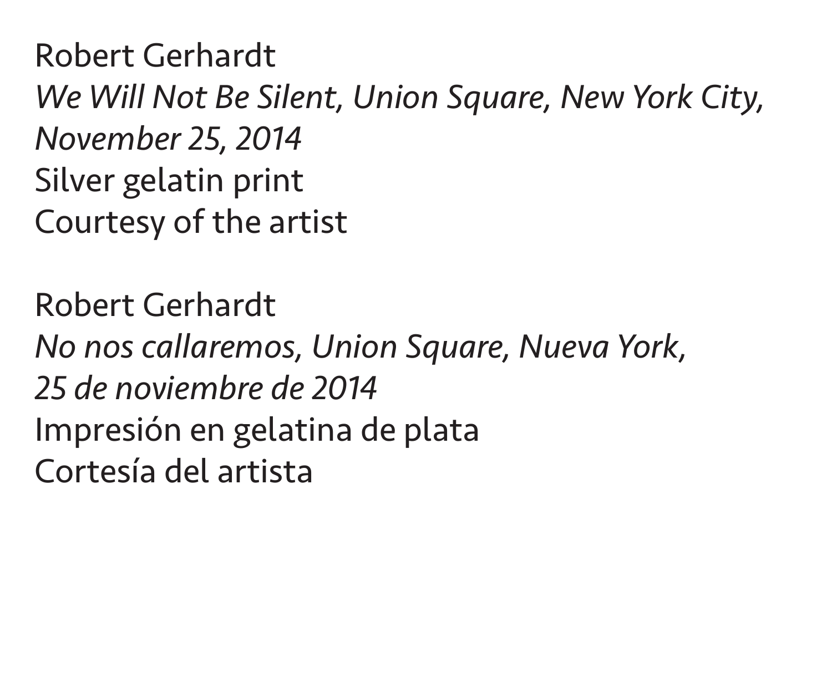Robert Gerhardt *We Will Not Be Silent, Union Square, New York City, November 25, 2014* Silver gelatin print Courtesy of the artist

Robert Gerhardt *No nos callaremos, Union Square, Nueva York, 25 de noviembre de 2014* Impresión en gelatina de plata Cortesía del artista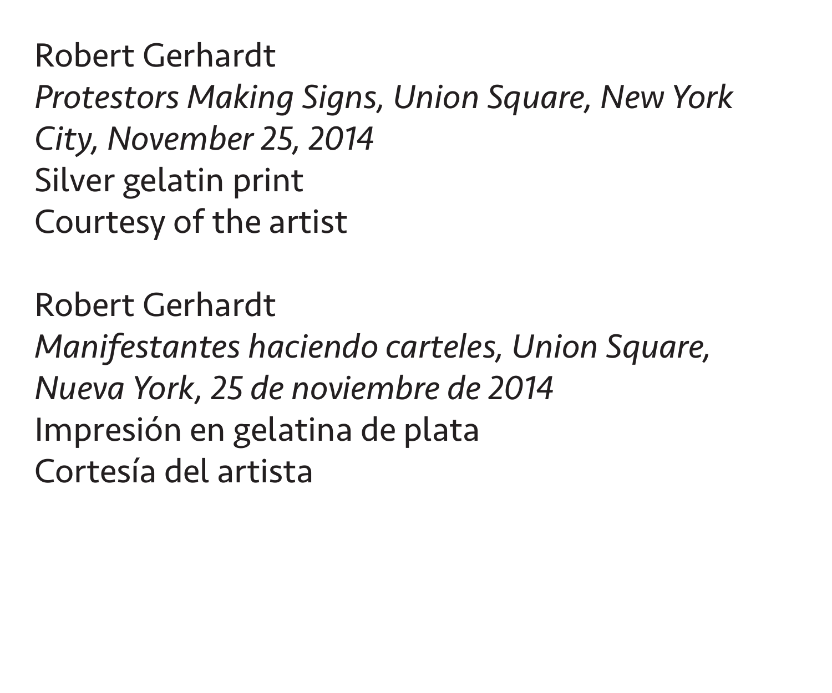Robert Gerhardt *Protestors Making Signs, Union Square, New York City, November 25, 2014* Silver gelatin print Courtesy of the artist

Robert Gerhardt *Manifestantes haciendo carteles, Union Square, Nueva York, 25 de noviembre de 2014* Impresión en gelatina de plata Cortesía del artista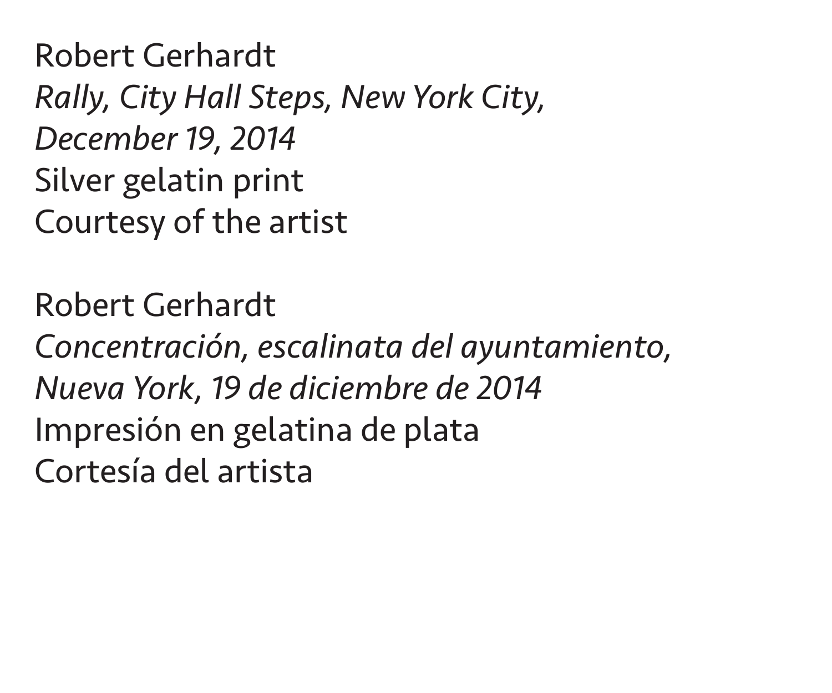Robert Gerhardt *Rally, City Hall Steps, New York City, December 19, 2014* Silver gelatin print Courtesy of the artist

Robert Gerhardt *Concentración, escalinata del ayuntamiento, Nueva York, 19 de diciembre de 2014* Impresión en gelatina de plata Cortesía del artista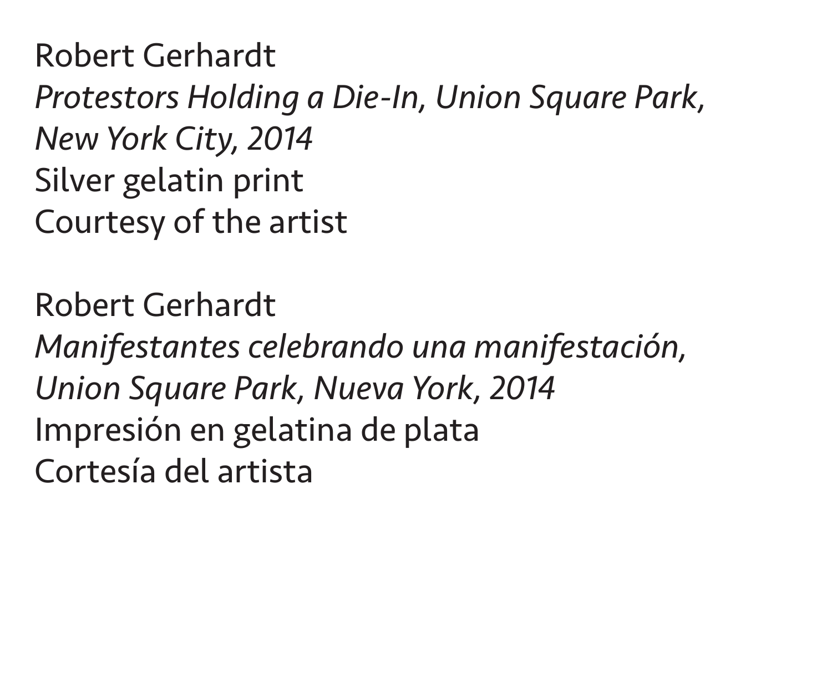Robert Gerhardt *Protestors Holding a Die-In, Union Square Park, New York City, 2014* Silver gelatin print Courtesy of the artist

Robert Gerhardt *Manifestantes celebrando una manifestación, Union Square Park, Nueva York, 2014* Impresión en gelatina de plata Cortesía del artista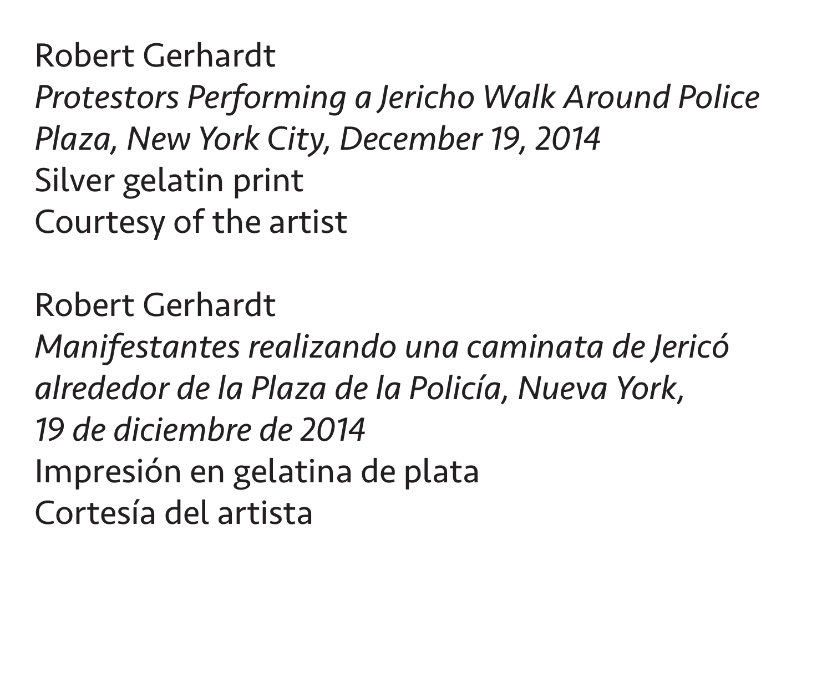Robert Gerhardt *Protestors Performing a Jericho Walk Around Police Plaza, New York City, December 19, 2014* Silver gelatin print Courtesy of the artist

Robert Gerhardt *Manifestantes realizando una caminata de Jericó alrededor de la Plaza de la Policía, Nueva York, 19 de diciembre de 2014* Impresión en gelatina de plata Cortesía del artista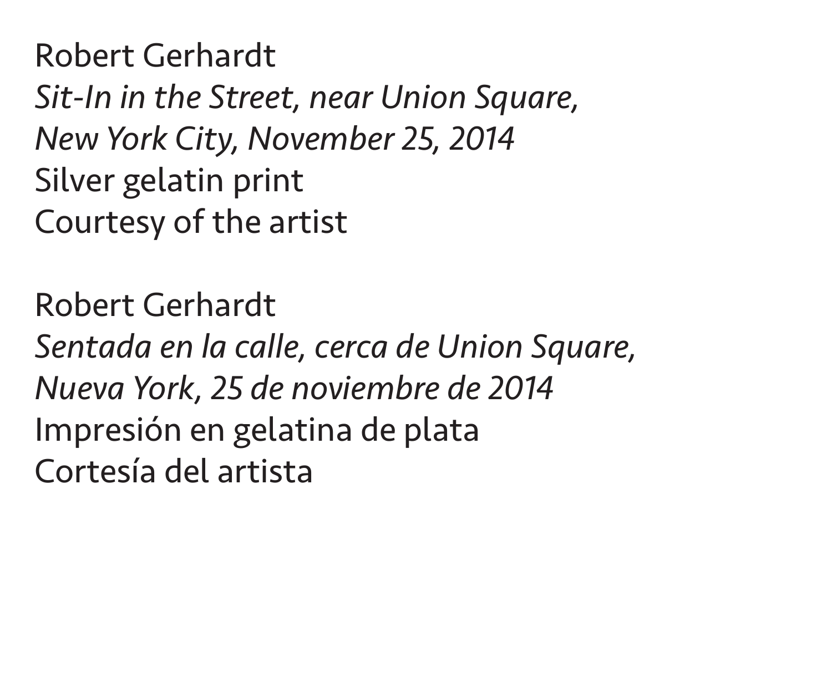Robert Gerhardt *Sit-In in the Street, near Union Square, New York City, November 25, 2014* Silver gelatin print Courtesy of the artist

Robert Gerhardt *Sentada en la calle, cerca de Union Square, Nueva York, 25 de noviembre de 2014* Impresión en gelatina de plata Cortesía del artista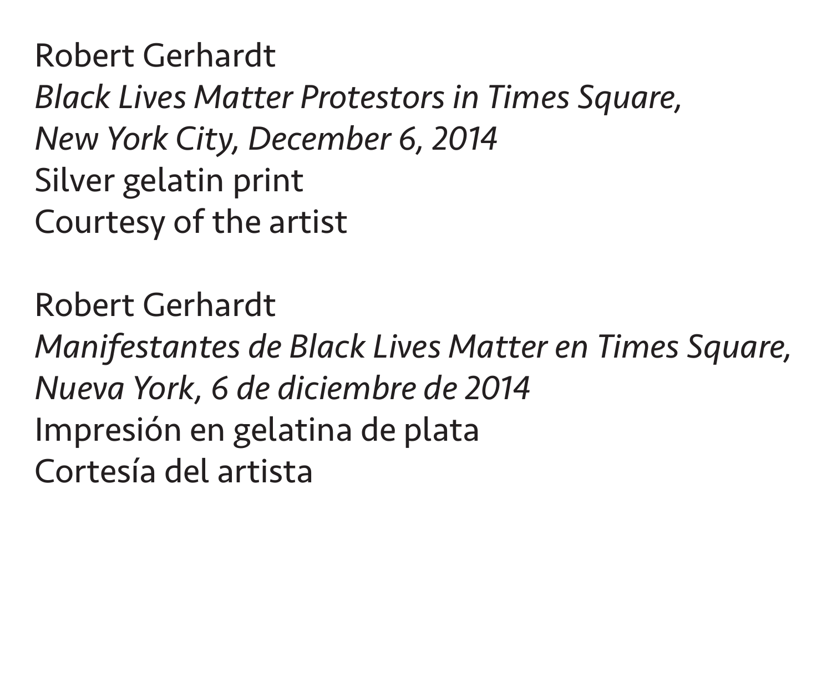Robert Gerhardt *Black Lives Matter Protestors in Times Square, New York City, December 6, 2014* Silver gelatin print Courtesy of the artist

Robert Gerhardt *Manifestantes de Black Lives Matter en Times Square, Nueva York, 6 de diciembre de 2014* Impresión en gelatina de plata Cortesía del artista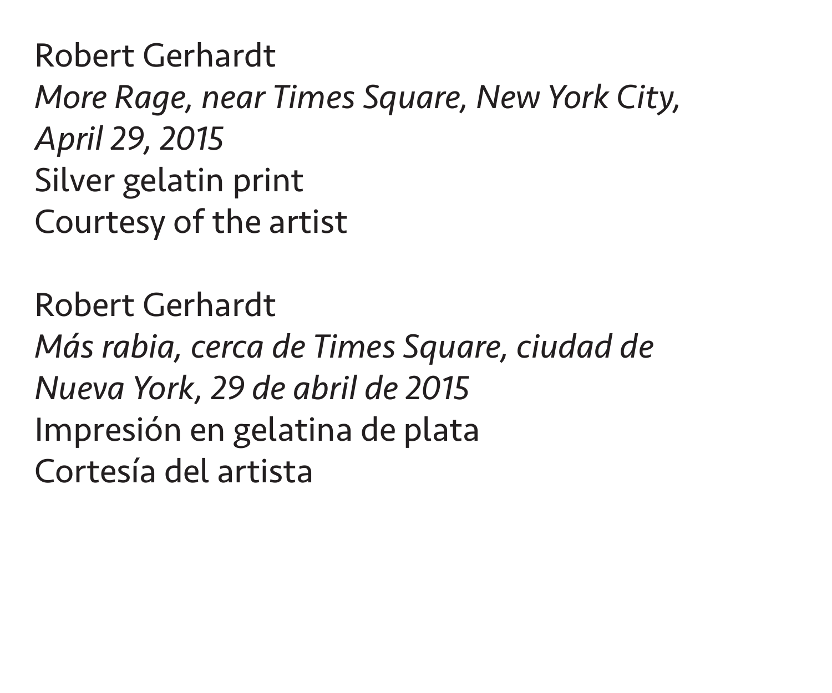Robert Gerhardt *More Rage, near Times Square, New York City, April 29, 2015* Silver gelatin print Courtesy of the artist

Robert Gerhardt *Más rabia, cerca de Times Square, ciudad de Nueva York, 29 de abril de 2015* Impresión en gelatina de plata Cortesía del artista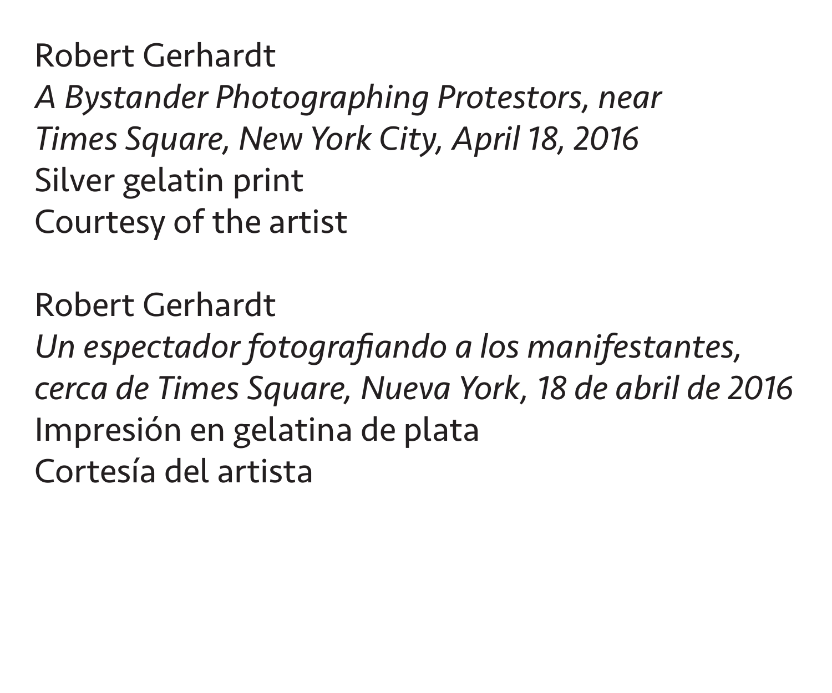Robert Gerhardt *A Bystander Photographing Protestors, near Times Square, New York City, April 18, 2016* Silver gelatin print Courtesy of the artist

Robert Gerhardt *Un espectador fotografiando a los manifestantes, cerca de Times Square, Nueva York, 18 de abril de 2016* Impresión en gelatina de plata Cortesía del artista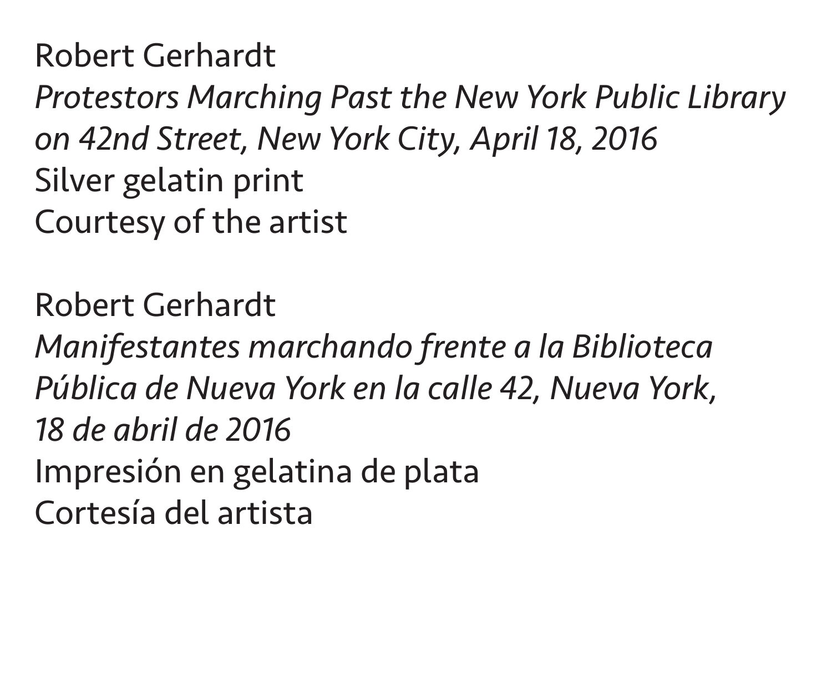Robert Gerhardt *Protestors Marching Past the New York Public Library on 42nd Street, New York City, April 18, 2016* Silver gelatin print Courtesy of the artist

Robert Gerhardt *Manifestantes marchando frente a la Biblioteca Pública de Nueva York en la calle 42, Nueva York, 18 de abril de 2016* Impresión en gelatina de plata Cortesía del artista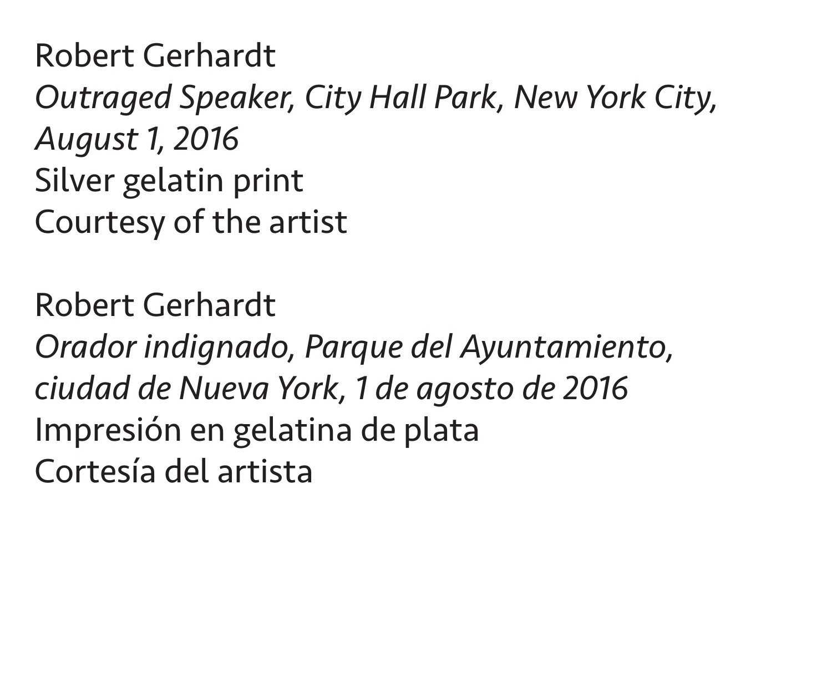Robert Gerhardt *Outraged Speaker, City Hall Park, New York City, August 1, 2016* Silver gelatin print Courtesy of the artist

Robert Gerhardt *Orador indignado, Parque del Ayuntamiento, ciudad de Nueva York, 1 de agosto de 2016* Impresión en gelatina de plata Cortesía del artista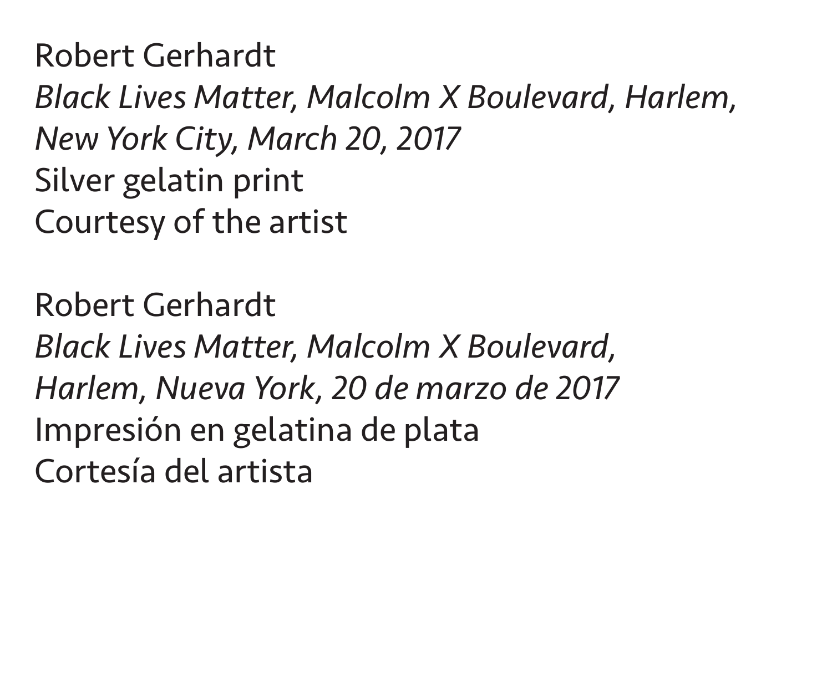Robert Gerhardt *Black Lives Matter, Malcolm X Boulevard, Harlem, New York City, March 20, 2017* Silver gelatin print Courtesy of the artist

Robert Gerhardt *Black Lives Matter, Malcolm X Boulevard, Harlem, Nueva York, 20 de marzo de 2017* Impresión en gelatina de plata Cortesía del artista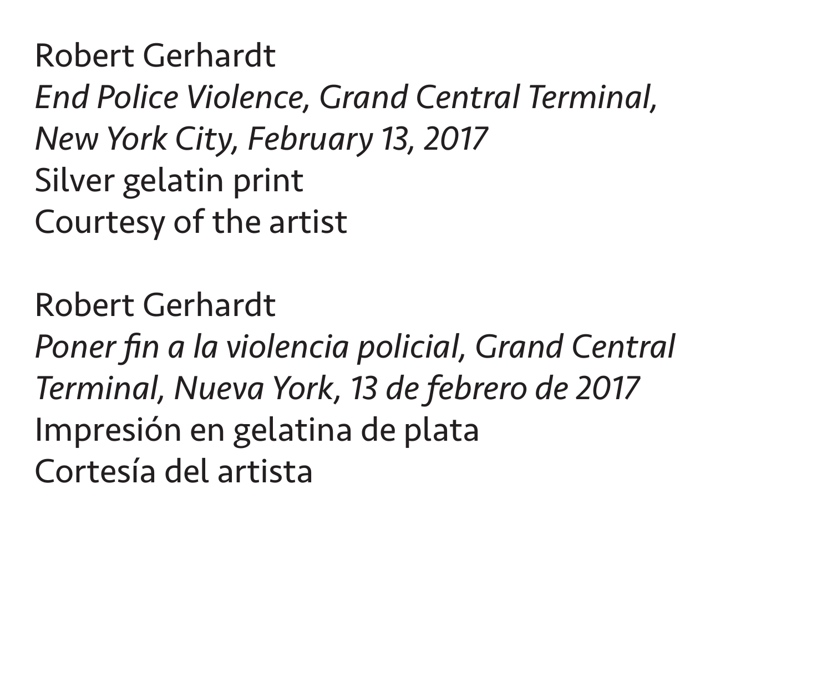Robert Gerhardt *End Police Violence, Grand Central Terminal, New York City, February 13, 2017* Silver gelatin print Courtesy of the artist

Robert Gerhardt *Poner fin a la violencia policial, Grand Central Terminal, Nueva York, 13 de febrero de 2017* Impresión en gelatina de plata Cortesía del artista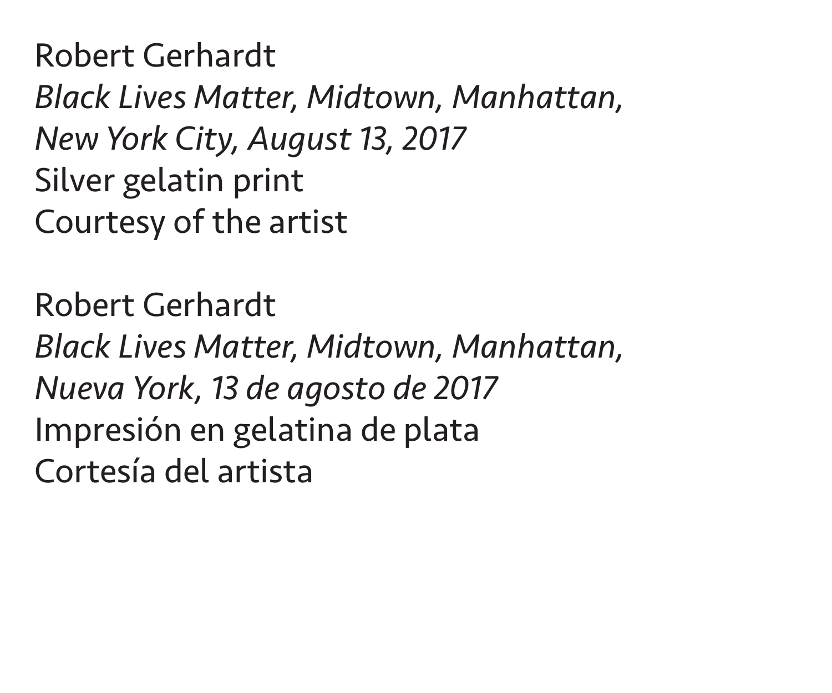Robert Gerhardt *Black Lives Matter, Midtown, Manhattan, New York City, August 13, 2017* Silver gelatin print Courtesy of the artist

Robert Gerhardt *Black Lives Matter, Midtown, Manhattan, Nueva York, 13 de agosto de 2017* Impresión en gelatina de plata Cortesía del artista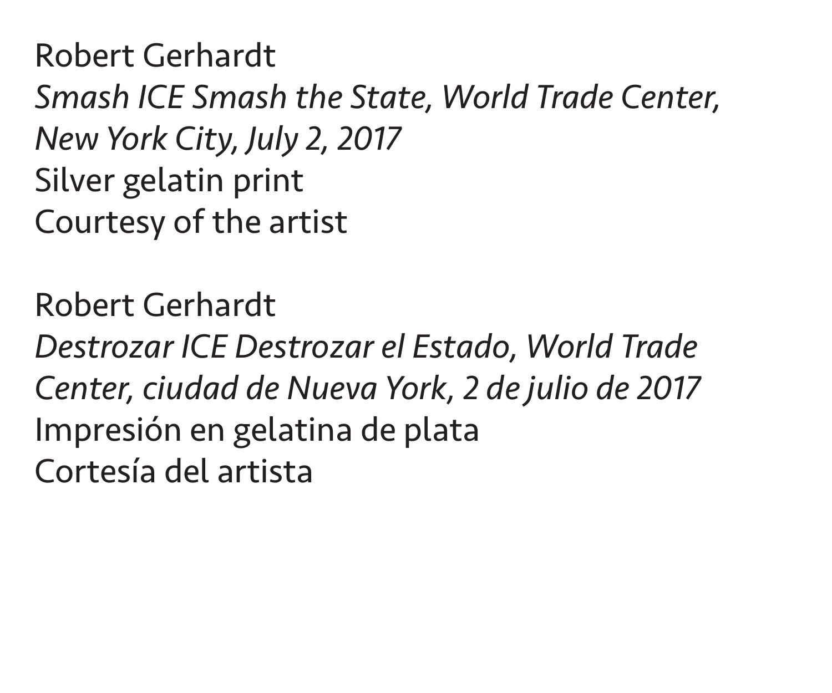Robert Gerhardt *Smash ICE Smash the State, World Trade Center, New York City, July 2, 2017* Silver gelatin print Courtesy of the artist

Robert Gerhardt *Destrozar ICE Destrozar el Estado, World Trade Center, ciudad de Nueva York, 2 de julio de 2017* Impresión en gelatina de plata Cortesía del artista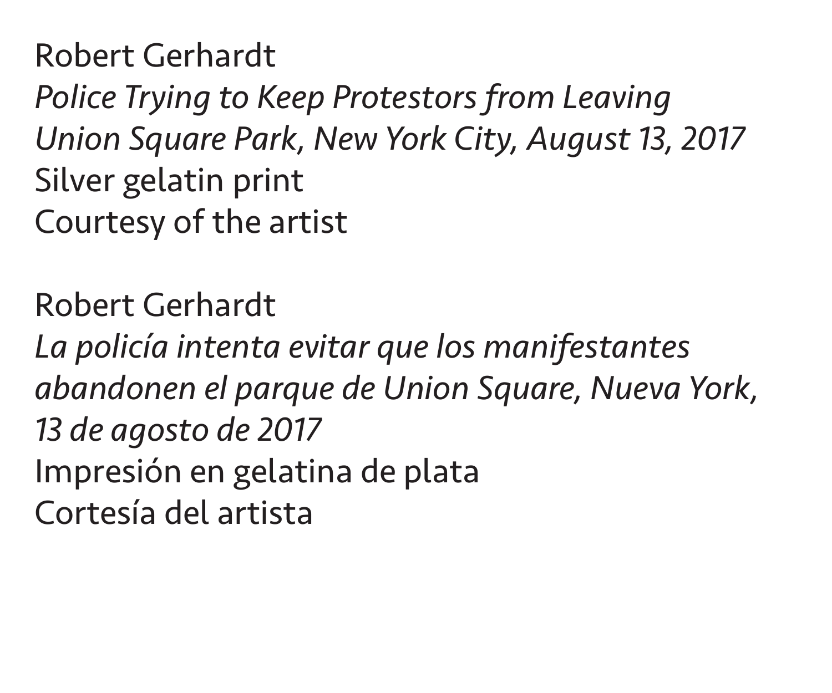Robert Gerhardt *Police Trying to Keep Protestors from Leaving Union Square Park, New York City, August 13, 2017* Silver gelatin print Courtesy of the artist

Robert Gerhardt *La policía intenta evitar que los manifestantes abandonen el parque de Union Square, Nueva York, 13 de agosto de 2017* Impresión en gelatina de plata Cortesía del artista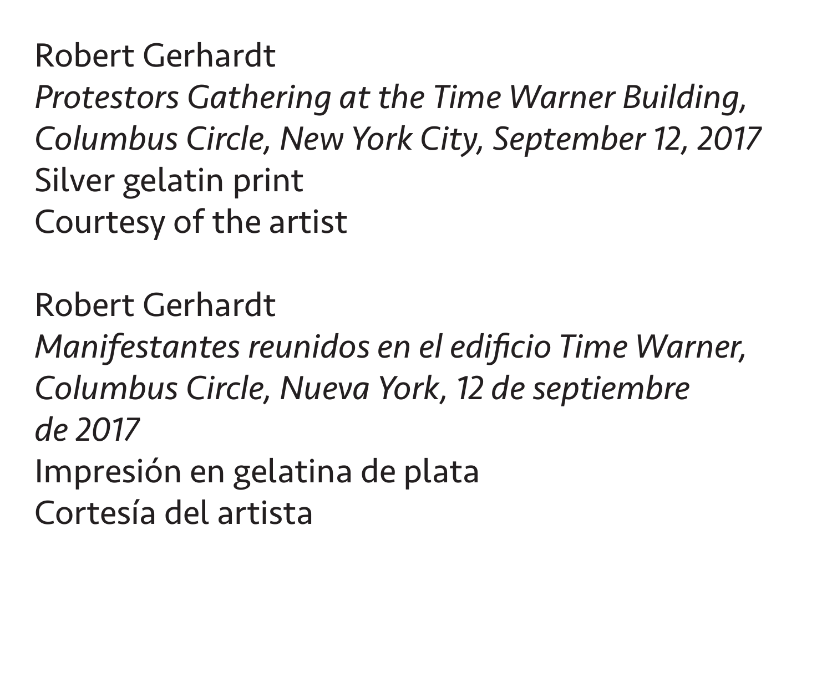Robert Gerhardt *Protestors Gathering at the Time Warner Building, Columbus Circle, New York City, September 12, 2017* Silver gelatin print Courtesy of the artist

Robert Gerhardt *Manifestantes reunidos en el edificio Time Warner, Columbus Circle, Nueva York, 12 de septiembre de 2017* Impresión en gelatina de plata Cortesía del artista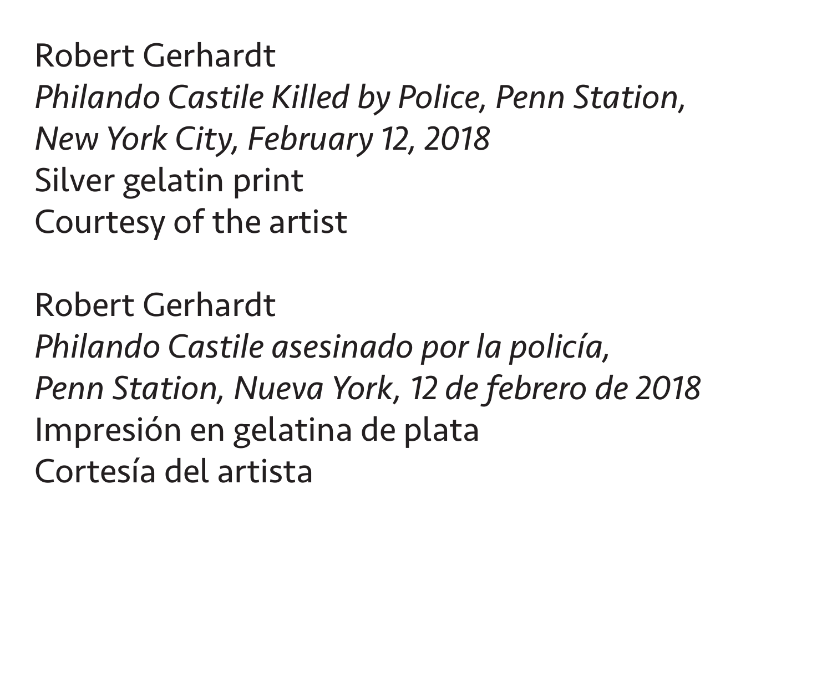Robert Gerhardt *Philando Castile Killed by Police, Penn Station, New York City, February 12, 2018* Silver gelatin print Courtesy of the artist

Robert Gerhardt *Philando Castile asesinado por la policía, Penn Station, Nueva York, 12 de febrero de 2018* Impresión en gelatina de plata Cortesía del artista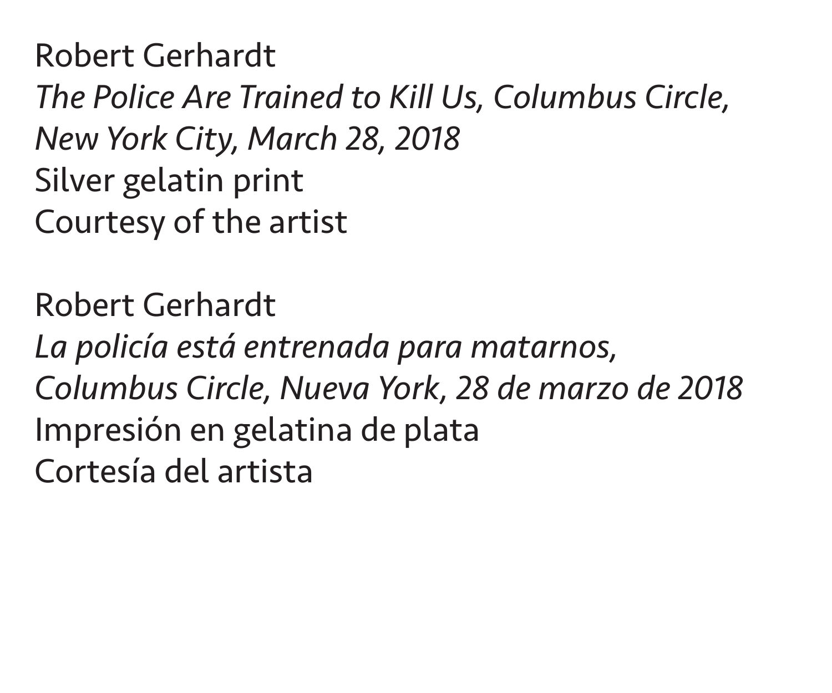Robert Gerhardt *The Police Are Trained to Kill Us, Columbus Circle, New York City, March 28, 2018* Silver gelatin print Courtesy of the artist

Robert Gerhardt *La policía está entrenada para matarnos, Columbus Circle, Nueva York, 28 de marzo de 2018* Impresión en gelatina de plata Cortesía del artista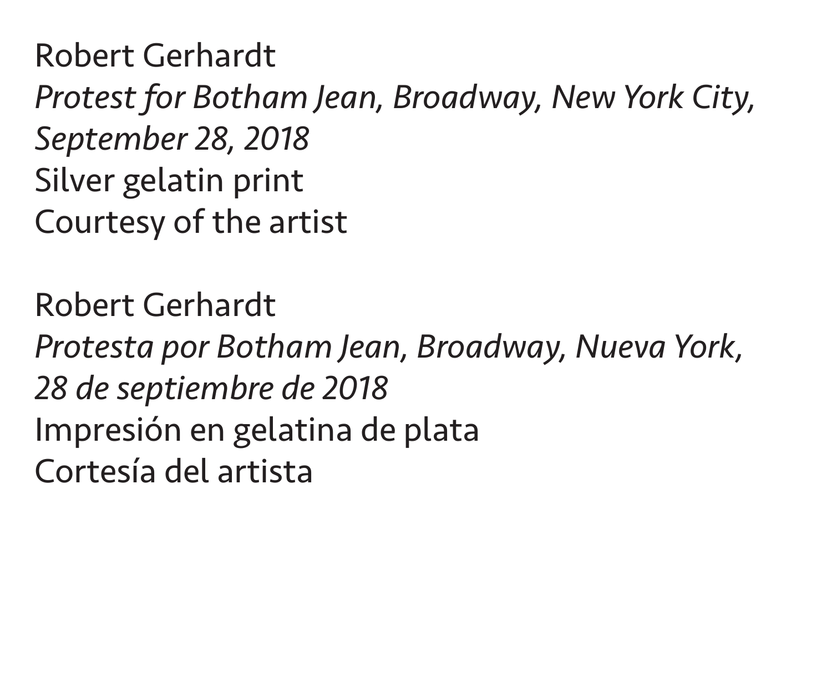Robert Gerhardt *Protest for Botham Jean, Broadway, New York City, September 28, 2018* Silver gelatin print Courtesy of the artist

Robert Gerhardt *Protesta por Botham Jean, Broadway, Nueva York, 28 de septiembre de 2018* Impresión en gelatina de plata Cortesía del artista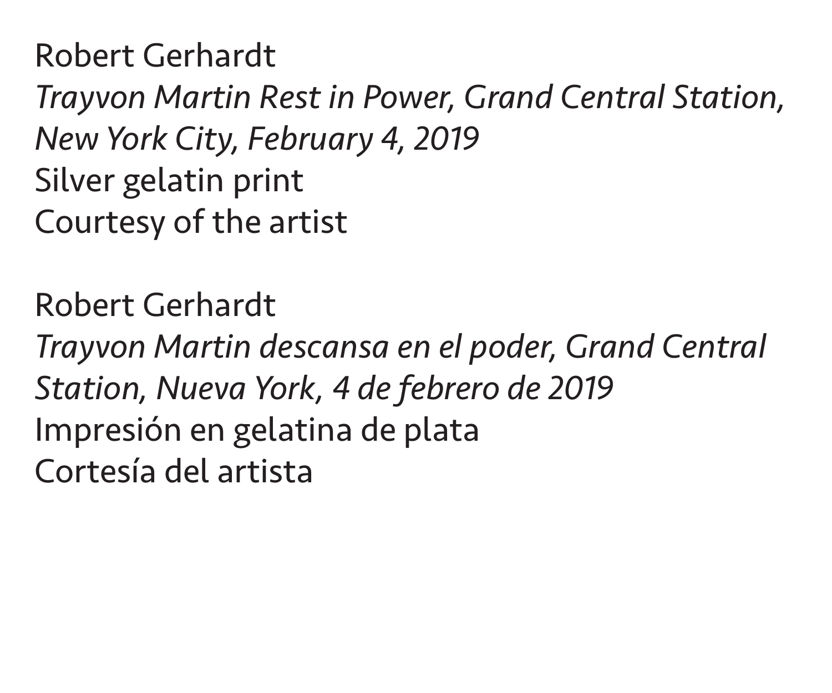Robert Gerhardt *Trayvon Martin Rest in Power, Grand Central Station, New York City, February 4, 2019* Silver gelatin print Courtesy of the artist

Robert Gerhardt *Trayvon Martin descansa en el poder, Grand Central Station, Nueva York, 4 de febrero de 2019* Impresión en gelatina de plata Cortesía del artista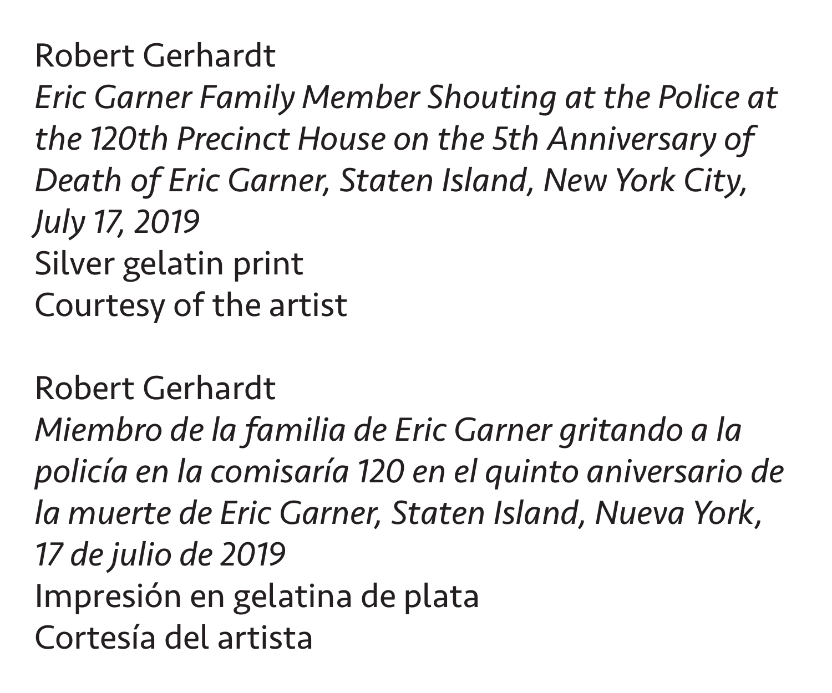*Eric Garner Family Member Shouting at the Police at the 120th Precinct House on the 5th Anniversary of Death of Eric Garner, Staten Island, New York City, July 17, 2019* Silver gelatin print Courtesy of the artist

Robert Gerhardt *Miembro de la familia de Eric Garner gritando a la policía en la comisaría 120 en el quinto aniversario de la muerte de Eric Garner, Staten Island, Nueva York, 17 de julio de 2019* Impresión en gelatina de plata Cortesía del artista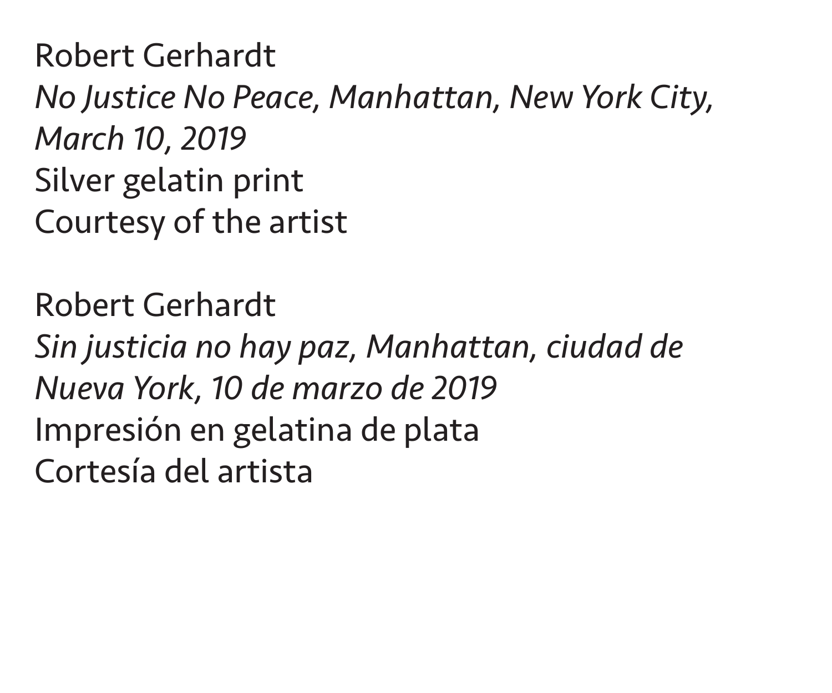Robert Gerhardt *No Justice No Peace, Manhattan, New York City, March 10, 2019* Silver gelatin print Courtesy of the artist

Robert Gerhardt *Sin justicia no hay paz, Manhattan, ciudad de Nueva York, 10 de marzo de 2019* Impresión en gelatina de plata Cortesía del artista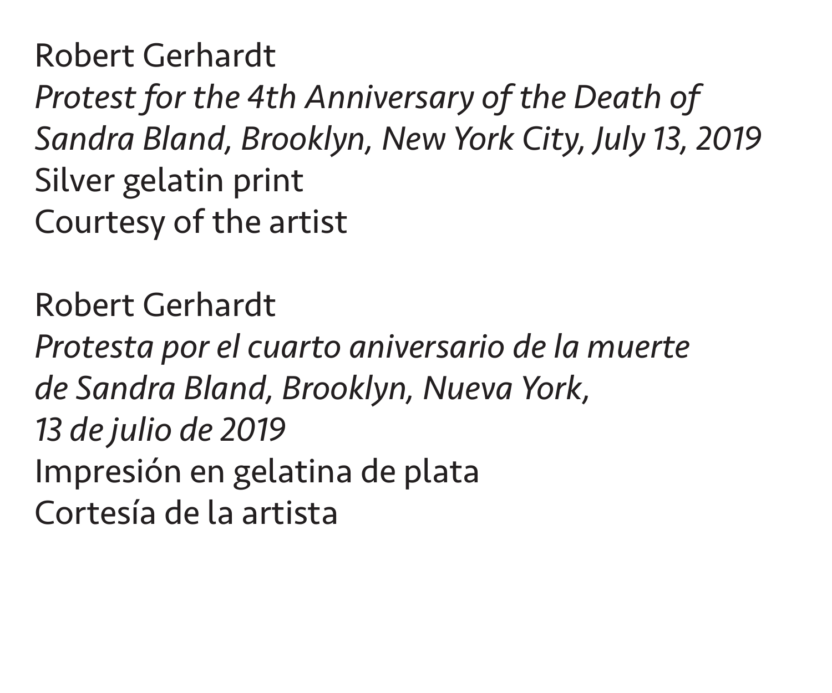Robert Gerhardt *Protest for the 4th Anniversary of the Death of Sandra Bland, Brooklyn, New York City, July 13, 2019* Silver gelatin print Courtesy of the artist

Robert Gerhardt *Protesta por el cuarto aniversario de la muerte de Sandra Bland, Brooklyn, Nueva York, 13 de julio de 2019* Impresión en gelatina de plata Cortesía de la artista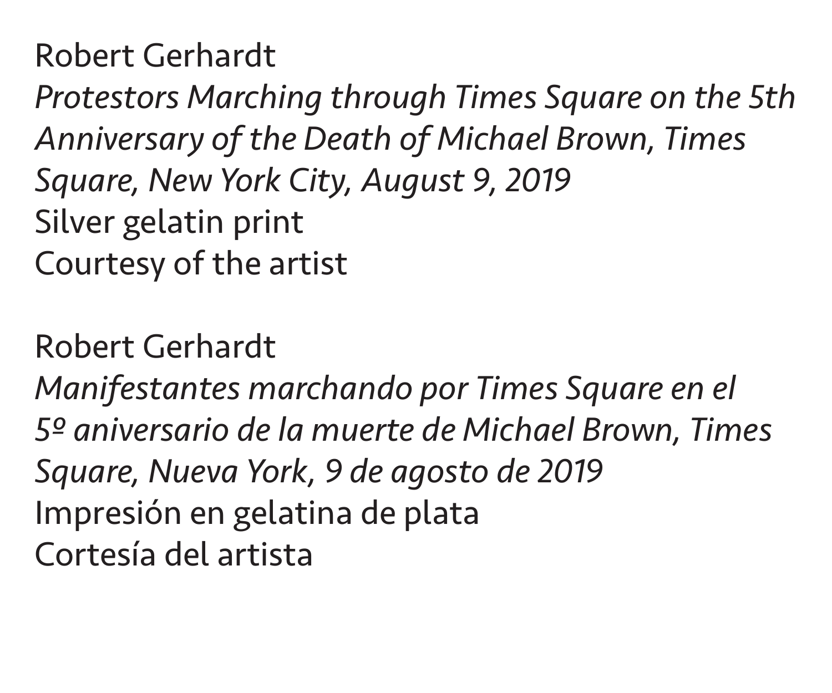Robert Gerhardt *Protestors Marching through Times Square on the 5th Anniversary of the Death of Michael Brown, Times Square, New York City, August 9, 2019* Silver gelatin print Courtesy of the artist

Robert Gerhardt

*Manifestantes marchando por Times Square en el 5º aniversario de la muerte de Michael Brown, Times Square, Nueva York, 9 de agosto de 2019* Impresión en gelatina de plata Cortesía del artista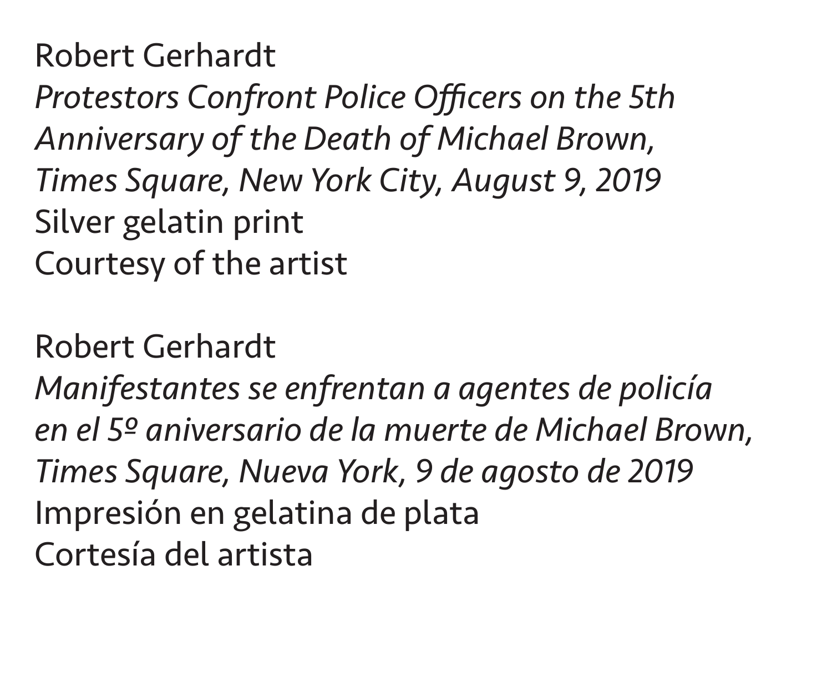Robert Gerhardt *Protestors Confront Police Officers on the 5th Anniversary of the Death of Michael Brown, Times Square, New York City, August 9, 2019* Silver gelatin print Courtesy of the artist

Robert Gerhardt

*Manifestantes se enfrentan a agentes de policía en el 5º aniversario de la muerte de Michael Brown, Times Square, Nueva York, 9 de agosto de 2019* Impresión en gelatina de plata Cortesía del artista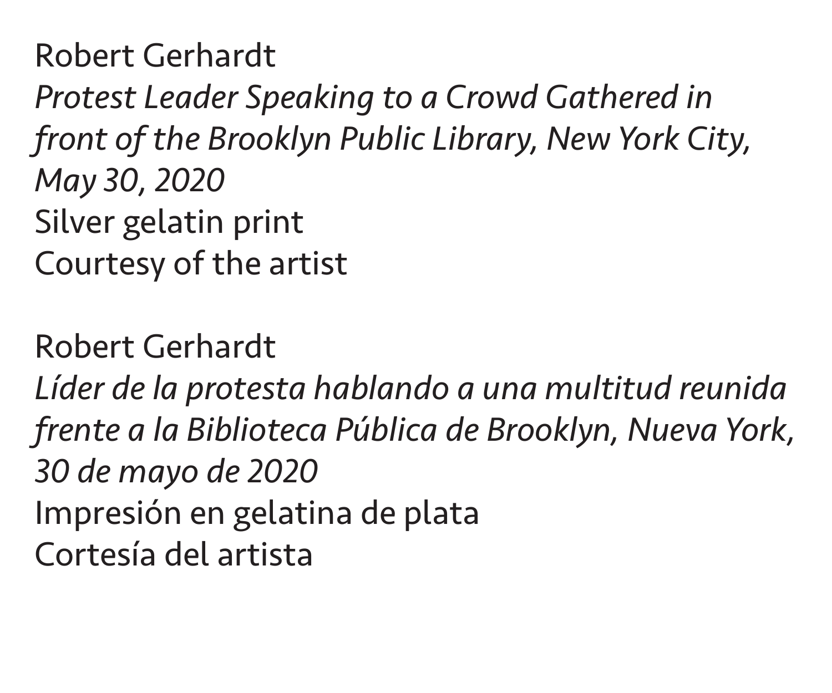Robert Gerhardt *Protest Leader Speaking to a Crowd Gathered in front of the Brooklyn Public Library, New York City, May 30, 2020* Silver gelatin print Courtesy of the artist

Robert Gerhardt *Líder de la protesta hablando a una multitud reunida frente a la Biblioteca Pública de Brooklyn, Nueva York, 30 de mayo de 2020* Impresión en gelatina de plata Cortesía del artista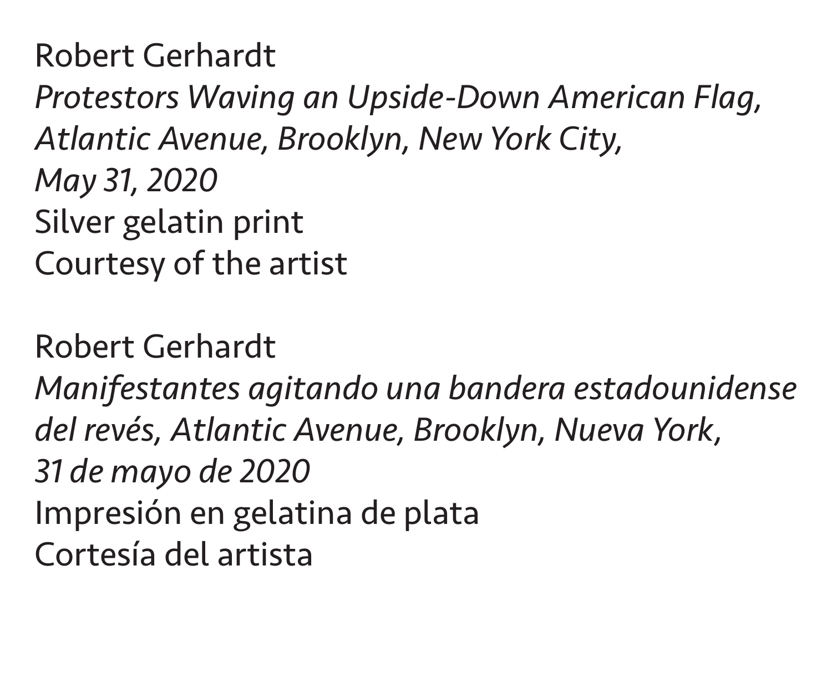Robert Gerhardt *Protestors Waving an Upside-Down American Flag, Atlantic Avenue, Brooklyn, New York City, May 31, 2020* Silver gelatin print Courtesy of the artist

Robert Gerhardt *Manifestantes agitando una bandera estadounidense del revés, Atlantic Avenue, Brooklyn, Nueva York, 31 de mayo de 2020* Impresión en gelatina de plata Cortesía del artista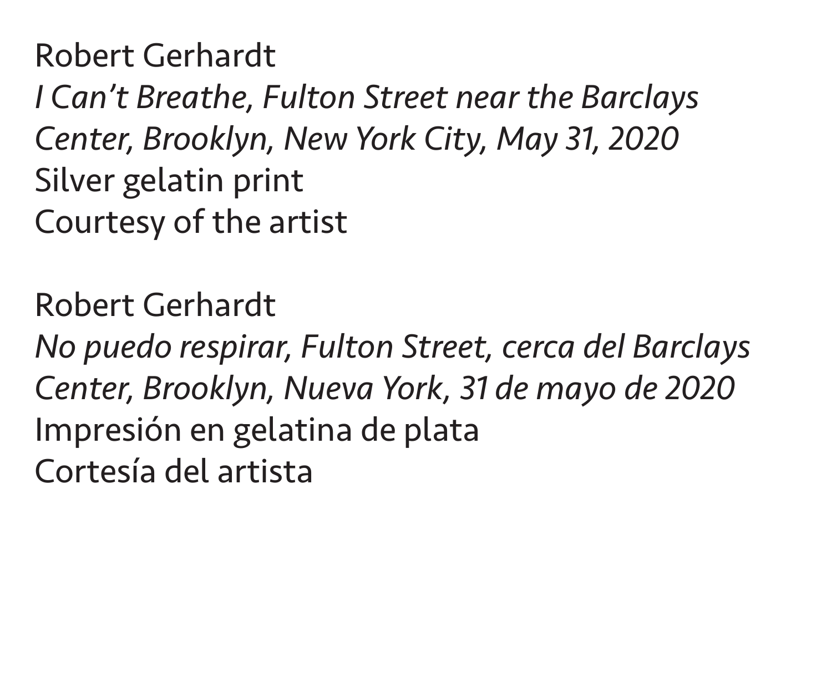Robert Gerhardt *I Can't Breathe, Fulton Street near the Barclays Center, Brooklyn, New York City, May 31, 2020* Silver gelatin print Courtesy of the artist

Robert Gerhardt *No puedo respirar, Fulton Street, cerca del Barclays Center, Brooklyn, Nueva York, 31 de mayo de 2020* Impresión en gelatina de plata Cortesía del artista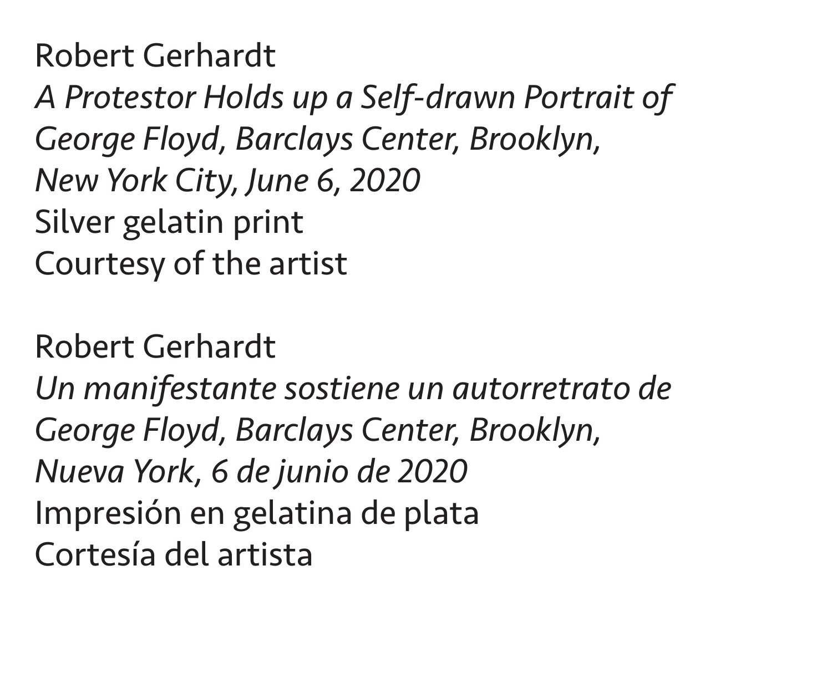Robert Gerhardt *A Protestor Holds up a Self-drawn Portrait of George Floyd, Barclays Center, Brooklyn, New York City, June 6, 2020* Silver gelatin print Courtesy of the artist

Robert Gerhardt *Un manifestante sostiene un autorretrato de George Floyd, Barclays Center, Brooklyn, Nueva York, 6 de junio de 2020* Impresión en gelatina de plata Cortesía del artista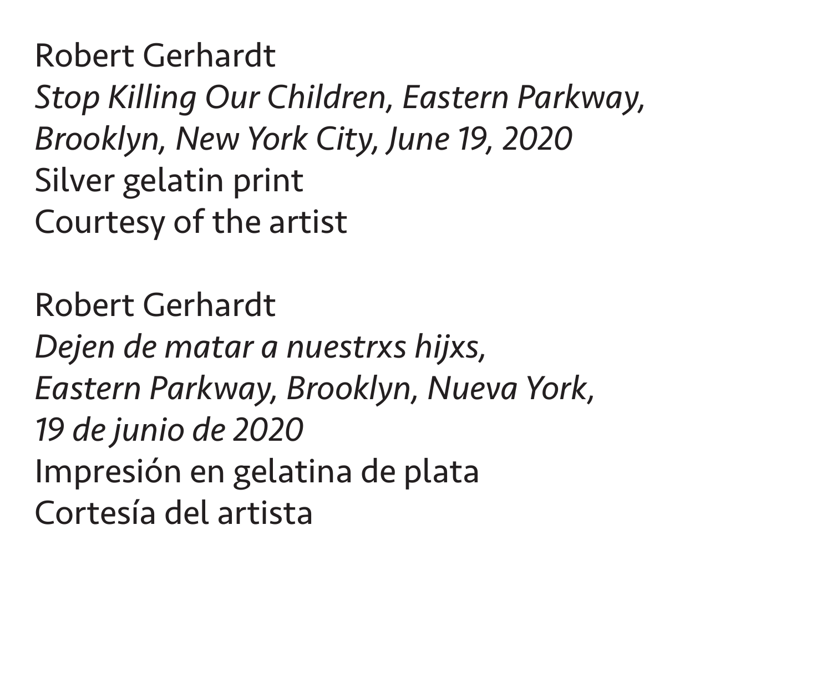Robert Gerhardt *Stop Killing Our Children, Eastern Parkway, Brooklyn, New York City, June 19, 2020* Silver gelatin print Courtesy of the artist

Robert Gerhardt *Dejen de matar a nuestrxs hijxs, Eastern Parkway, Brooklyn, Nueva York, 19 de junio de 2020* Impresión en gelatina de plata Cortesía del artista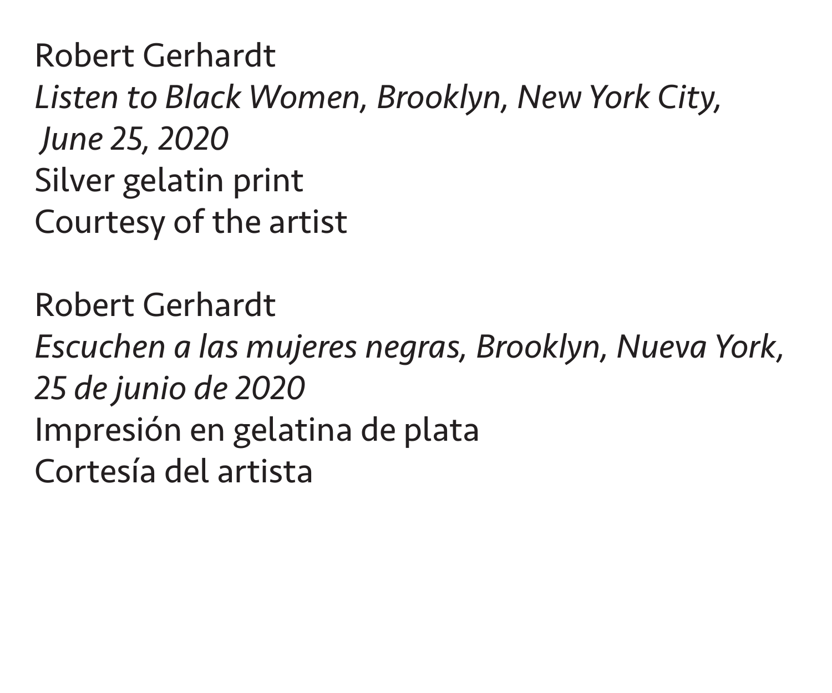Robert Gerhardt *Listen to Black Women, Brooklyn, New York City, June 25, 2020* Silver gelatin print Courtesy of the artist

Robert Gerhardt *Escuchen a las mujeres negras, Brooklyn, Nueva York, 25 de junio de 2020* Impresión en gelatina de plata Cortesía del artista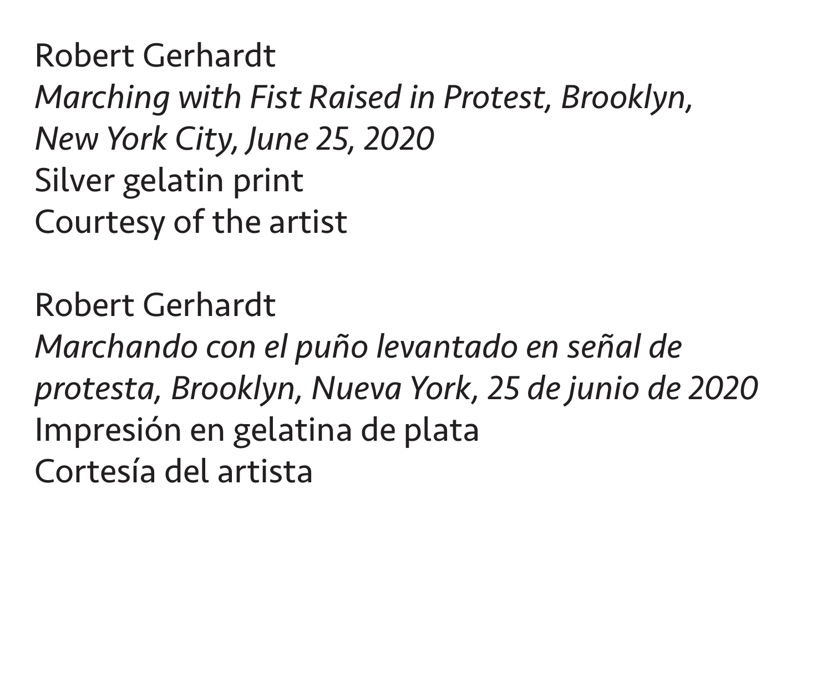Robert Gerhardt *Marching with Fist Raised in Protest, Brooklyn, New York City, June 25, 2020* Silver gelatin print Courtesy of the artist

Robert Gerhardt *Marchando con el puño levantado en señal de protesta, Brooklyn, Nueva York, 25 de junio de 2020* Impresión en gelatina de plata Cortesía del artista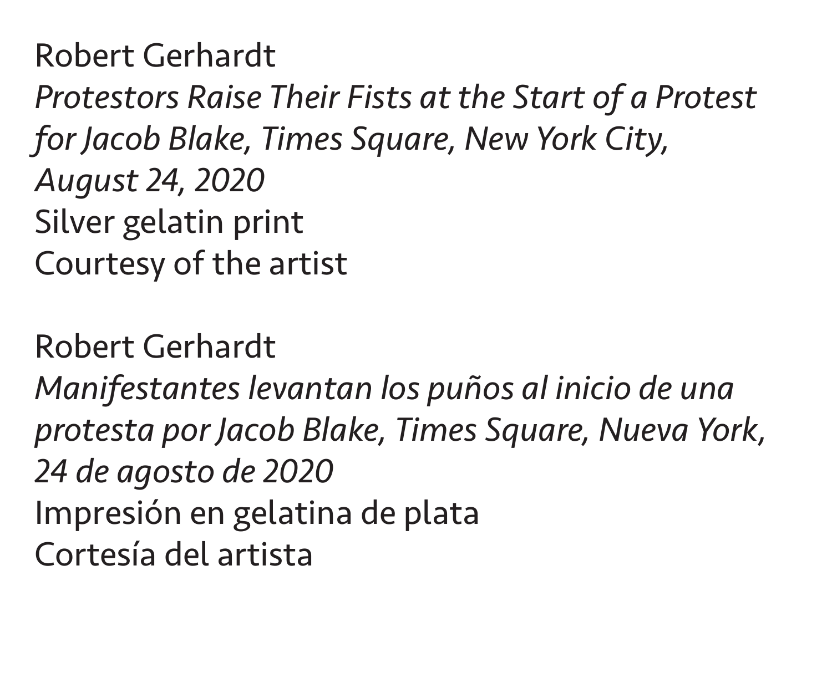Robert Gerhardt *Protestors Raise Their Fists at the Start of a Protest for Jacob Blake, Times Square, New York City, August 24, 2020* Silver gelatin print Courtesy of the artist

Robert Gerhardt

*Manifestantes levantan los puños al inicio de una protesta por Jacob Blake, Times Square, Nueva York, 24 de agosto de 2020* Impresión en gelatina de plata Cortesía del artista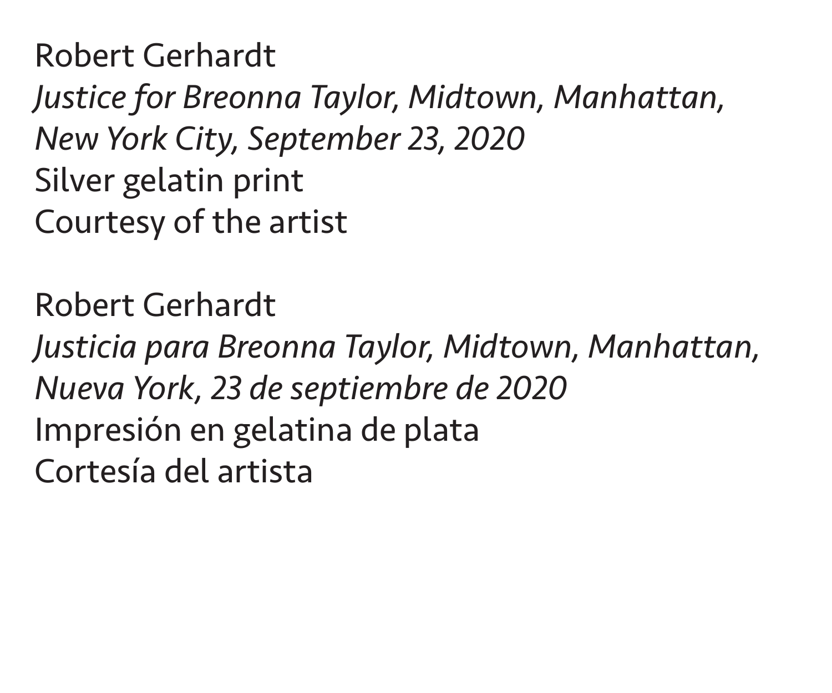Robert Gerhardt *Justice for Breonna Taylor, Midtown, Manhattan, New York City, September 23, 2020* Silver gelatin print Courtesy of the artist

Robert Gerhardt *Justicia para Breonna Taylor, Midtown, Manhattan, Nueva York, 23 de septiembre de 2020* Impresión en gelatina de plata Cortesía del artista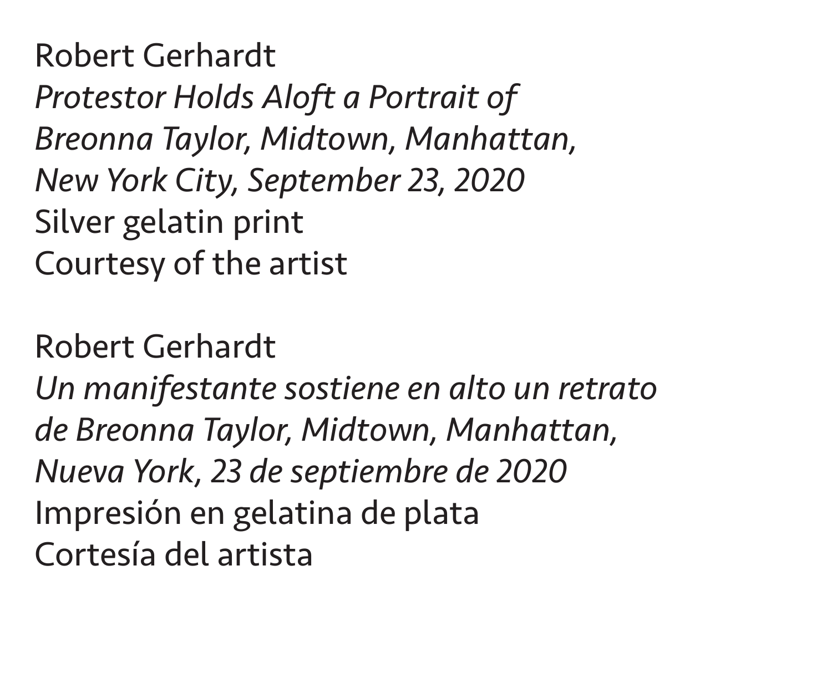Robert Gerhardt *Protestor Holds Aloft a Portrait of Breonna Taylor, Midtown, Manhattan, New York City, September 23, 2020* Silver gelatin print Courtesy of the artist

Robert Gerhardt *Un manifestante sostiene en alto un retrato de Breonna Taylor, Midtown, Manhattan, Nueva York, 23 de septiembre de 2020* Impresión en gelatina de plata Cortesía del artista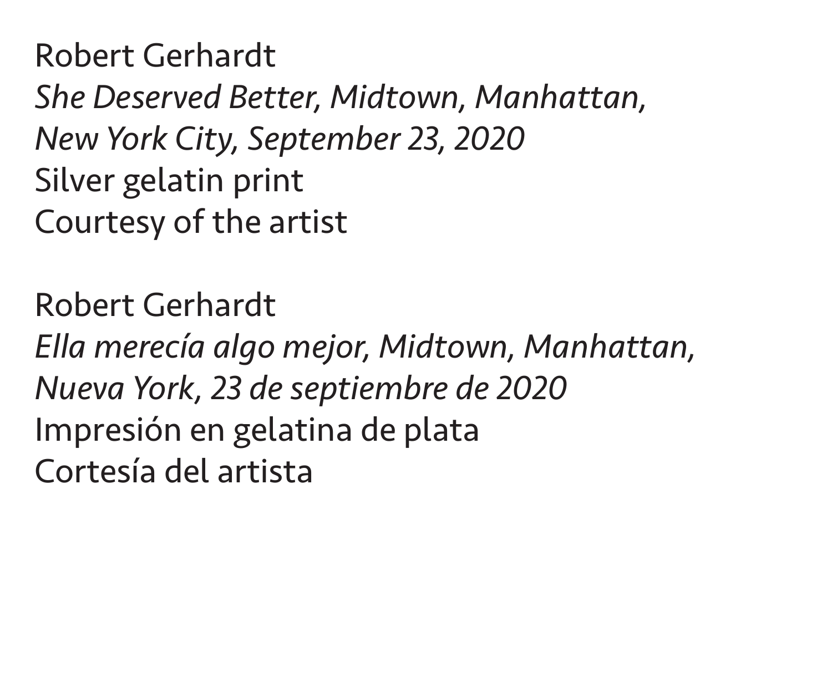Robert Gerhardt *She Deserved Better, Midtown, Manhattan, New York City, September 23, 2020* Silver gelatin print Courtesy of the artist

Robert Gerhardt *Ella merecía algo mejor, Midtown, Manhattan, Nueva York, 23 de septiembre de 2020* Impresión en gelatina de plata Cortesía del artista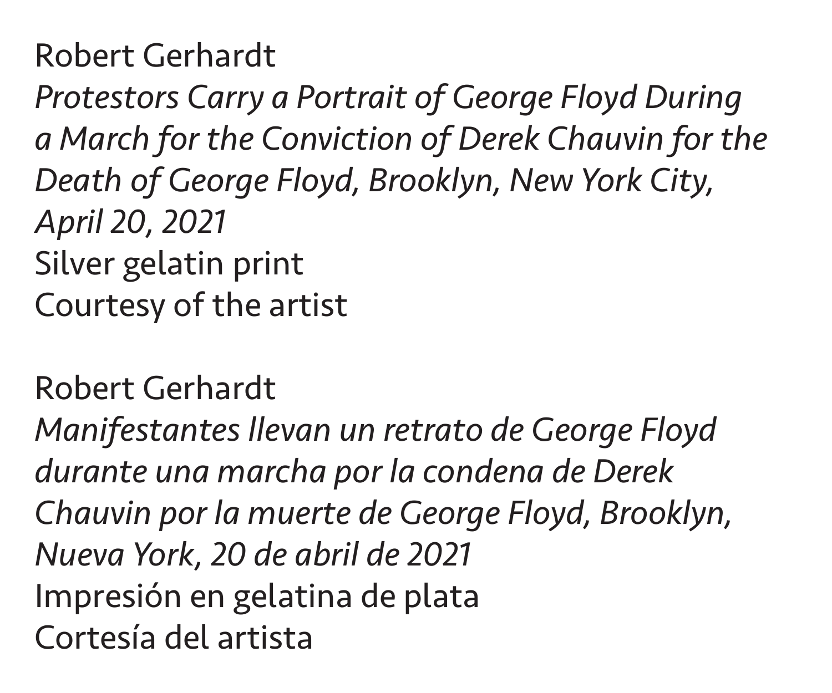*Protestors Carry a Portrait of George Floyd During a March for the Conviction of Derek Chauvin for the Death of George Floyd, Brooklyn, New York City, April 20, 2021* Silver gelatin print Courtesy of the artist

Robert Gerhardt *Manifestantes llevan un retrato de George Floyd durante una marcha por la condena de Derek Chauvin por la muerte de George Floyd, Brooklyn, Nueva York, 20 de abril de 2021* Impresión en gelatina de plata Cortesía del artista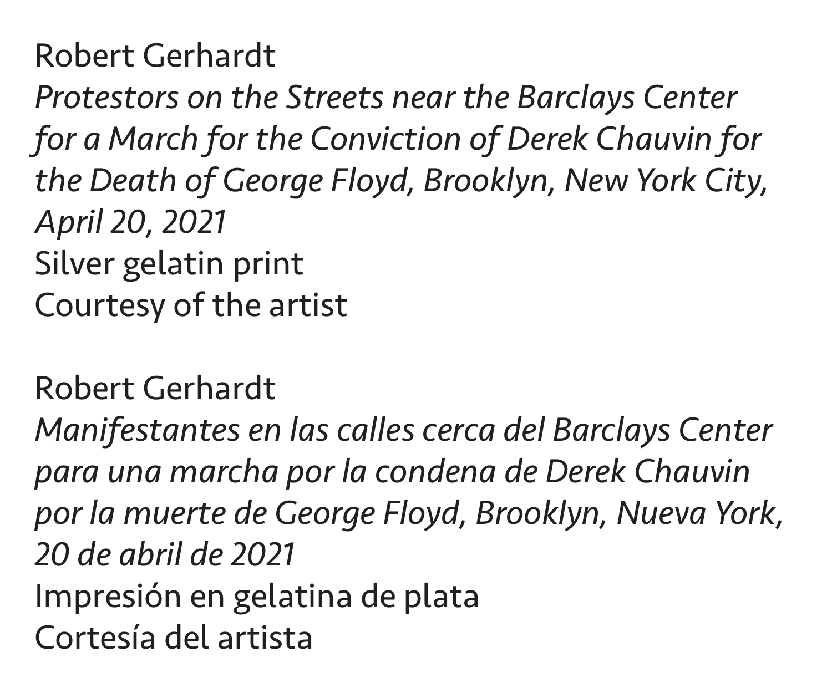*Protestors on the Streets near the Barclays Center for a March for the Conviction of Derek Chauvin for the Death of George Floyd, Brooklyn, New York City, April 20, 2021* Silver gelatin print Courtesy of the artist

Robert Gerhardt *Manifestantes en las calles cerca del Barclays Center para una marcha por la condena de Derek Chauvin por la muerte de George Floyd, Brooklyn, Nueva York, 20 de abril de 2021* Impresión en gelatina de plata Cortesía del artista